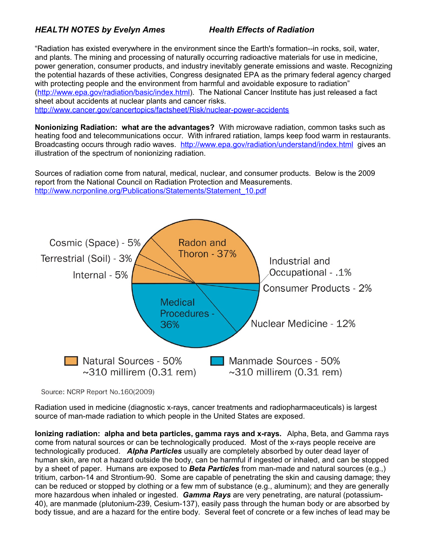## *HEALTH NOTES by Evelyn Ames Health Effects of Radiation*

"Radiation has existed everywhere in the environment since the Earth's formation--in rocks, soil, water, and plants. The mining and processing of naturally occurring radioactive materials for use in medicine, power generation, consumer products, and industry inevitably generate emissions and waste. Recognizing the potential hazards of these activities, Congress designated EPA as the primary federal agency charged with protecting people and the environment from harmful and avoidable exposure to radiation" [\(http://www.epa.gov/radiation/basic/index.html\)](http://www.epa.gov/radiation/basic/index.html). The National Cancer Institute has just released a fact sheet about accidents at nuclear plants and cancer risks.

<http://www.cancer.gov/cancertopics/factsheet/Risk/nuclear-power-accidents>

**Nonionizing Radiation: what are the advantages?** With microwave radiation, common tasks such as heating food and telecommunications occur. With infrared ratiation, lamps keep food warm in restaurants. Broadcasting occurs through radio waves. <http://www.epa.gov/radiation/understand/index.html>gives an illustration of the spectrum of nonionizing radiation.

Sources of radiation come from natural, medical, nuclear, and consumer products. Below is the 2009 report from the National Council on Radiation Protection and Measurements. [http://www.ncrponline.org/Publications/Statements/Statement\\_10.pdf](http://www.ncrponline.org/Publications/Statements/Statement_10.pdf)



Source: NCRP Report No.160(2009)

Radiation used in medicine (diagnostic x-rays, cancer treatments and radiopharmaceuticals) is largest source of man-made radiation to which people in the United States are exposed.

**Ionizing radiation: alpha and beta particles, gamma rays and x-rays.** Alpha, Beta, and Gamma rays come from natural sources or can be technologically produced. Most of the x-rays people receive are technologically produced. *Alpha Particles* usually are completely absorbed by outer dead layer of human skin, are not a hazard outside the body, can be harmful if ingested or inhaled, and can be stopped by a sheet of paper. Humans are exposed to *Beta Particles* from man-made and natural sources (e.g.,) tritium, carbon-14 and Strontium-90. Some are capable of penetrating the skin and causing damage; they can be reduced or stopped by clothing or a few mm of substance (e.g., aluminum); and they are generally more hazardous when inhaled or ingested. *Gamma Rays* are very penetrating, are natural (potassium-40), are manmade (plutonium-239, Cesium-137), easily pass through the human body or are absorbed by body tissue, and are a hazard for the entire body. Several feet of concrete or a few inches of lead may be